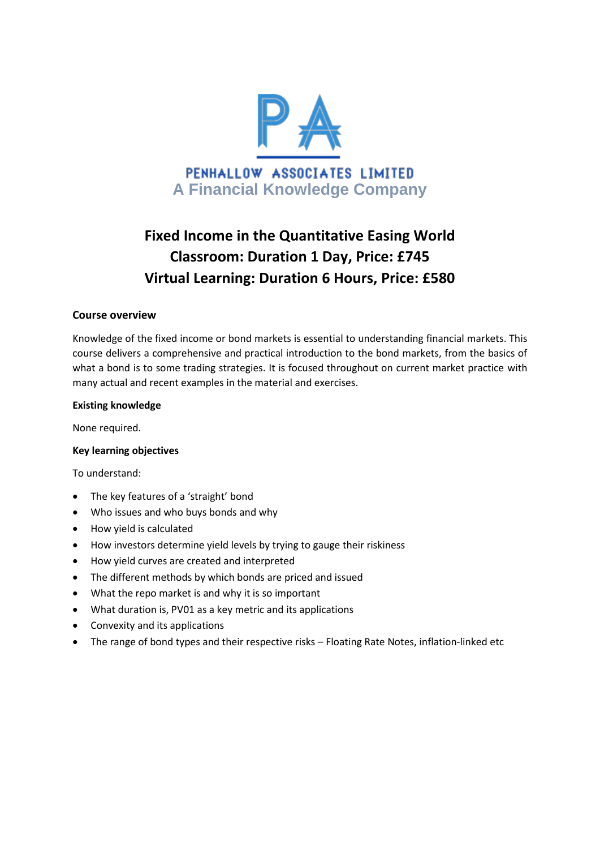

# **Fixed Income in the Quantitative Easing World Classroom: Duration 1 Day, Price: £745 Virtual Learning: Duration 6 Hours, Price: £580**

## **Course overview**

Knowledge of the fixed income or bond markets is essential to understanding financial markets. This course delivers a comprehensive and practical introduction to the bond markets, from the basics of what a bond is to some trading strategies. It is focused throughout on current market practice with many actual and recent examples in the material and exercises.

#### **Existing knowledge**

None required.

#### **Key learning objectives**

To understand:

- The key features of a 'straight' bond
- Who issues and who buys bonds and why
- How yield is calculated
- How investors determine yield levels by trying to gauge their riskiness
- How yield curves are created and interpreted
- The different methods by which bonds are priced and issued
- What the repo market is and why it is so important
- What duration is, PV01 as a key metric and its applications
- Convexity and its applications
- The range of bond types and their respective risks Floating Rate Notes, inflation-linked etc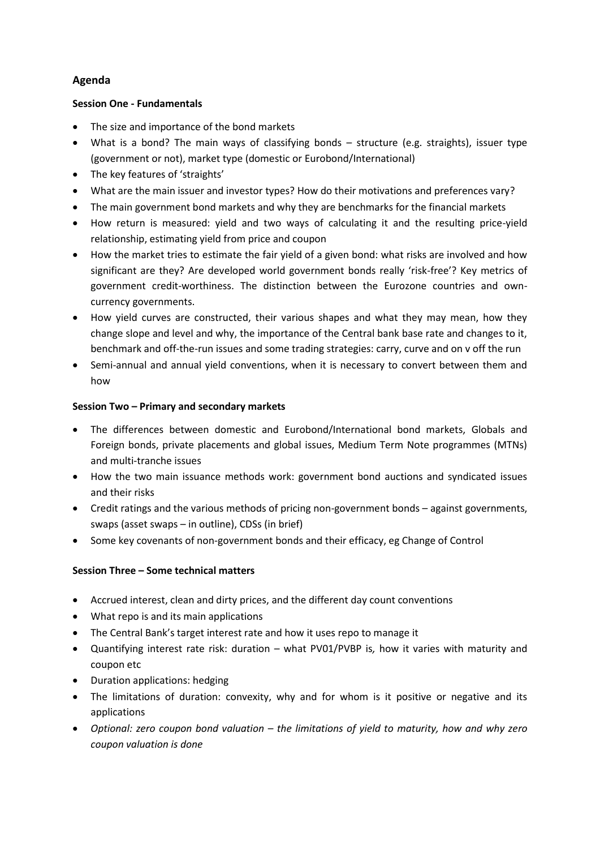# **Agenda**

## **Session One - Fundamentals**

- The size and importance of the bond markets
- What is a bond? The main ways of classifying bonds structure (e.g. straights), issuer type (government or not), market type (domestic or Eurobond/International)
- The key features of 'straights'
- What are the main issuer and investor types? How do their motivations and preferences vary?
- The main government bond markets and why they are benchmarks for the financial markets
- How return is measured: yield and two ways of calculating it and the resulting price-yield relationship, estimating yield from price and coupon
- How the market tries to estimate the fair yield of a given bond: what risks are involved and how significant are they? Are developed world government bonds really 'risk-free'? Key metrics of government credit-worthiness. The distinction between the Eurozone countries and owncurrency governments.
- How yield curves are constructed, their various shapes and what they may mean, how they change slope and level and why, the importance of the Central bank base rate and changes to it, benchmark and off-the-run issues and some trading strategies: carry, curve and on v off the run
- Semi-annual and annual yield conventions, when it is necessary to convert between them and how

## **Session Two – Primary and secondary markets**

- The differences between domestic and Eurobond/International bond markets, Globals and Foreign bonds, private placements and global issues, Medium Term Note programmes (MTNs) and multi-tranche issues
- How the two main issuance methods work: government bond auctions and syndicated issues and their risks
- Credit ratings and the various methods of pricing non-government bonds against governments, swaps (asset swaps – in outline), CDSs (in brief)
- Some key covenants of non-government bonds and their efficacy, eg Change of Control

# **Session Three – Some technical matters**

- Accrued interest, clean and dirty prices, and the different day count conventions
- What repo is and its main applications
- The Central Bank's target interest rate and how it uses repo to manage it
- Quantifying interest rate risk: duration what PV01/PVBP is*,* how it varies with maturity and coupon etc
- Duration applications: hedging
- The limitations of duration: convexity, why and for whom is it positive or negative and its applications
- *Optional: zero coupon bond valuation – the limitations of yield to maturity, how and why zero coupon valuation is done*